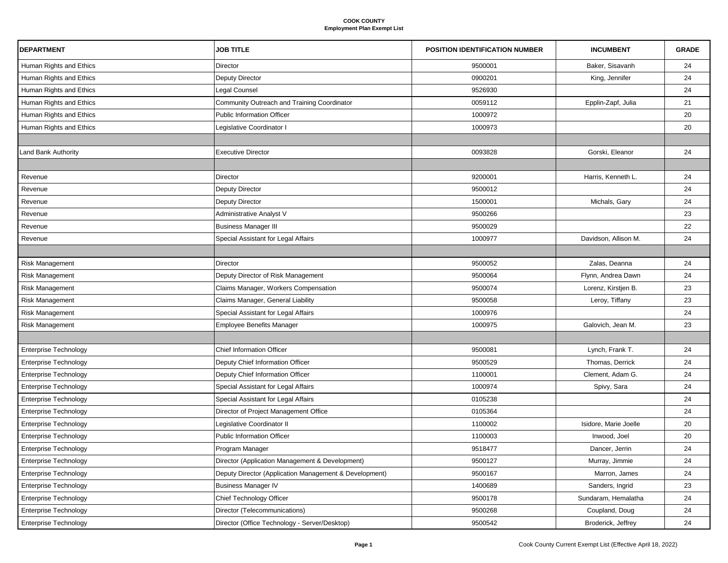| <b>DEPARTMENT</b>            | <b>JOB TITLE</b>                                       | POSITION IDENTIFICATION NUMBER | <b>INCUMBENT</b>      | <b>GRADE</b> |
|------------------------------|--------------------------------------------------------|--------------------------------|-----------------------|--------------|
| Human Rights and Ethics      | Director                                               | 9500001                        | Baker, Sisavanh       | 24           |
| Human Rights and Ethics      | Deputy Director                                        | 0900201                        | King, Jennifer        | 24           |
| Human Rights and Ethics      | Legal Counsel                                          | 9526930                        |                       | 24           |
| Human Rights and Ethics      | Community Outreach and Training Coordinator            | 0059112                        | Epplin-Zapf, Julia    | 21           |
| Human Rights and Ethics      | <b>Public Information Officer</b>                      | 1000972                        |                       | 20           |
| Human Rights and Ethics      | Legislative Coordinator I                              | 1000973                        |                       | 20           |
|                              |                                                        |                                |                       |              |
| Land Bank Authority          | Executive Director                                     | 0093828                        | Gorski, Eleanor       | 24           |
|                              |                                                        |                                |                       |              |
| Revenue                      | Director                                               | 9200001                        | Harris, Kenneth L.    | 24           |
| Revenue                      | Deputy Director                                        | 9500012                        |                       | 24           |
| Revenue                      | Deputy Director                                        | 1500001                        | Michals, Gary         | 24           |
| Revenue                      | Administrative Analyst V                               | 9500266                        |                       | 23           |
| Revenue                      | <b>Business Manager III</b>                            | 9500029                        |                       | 22           |
| Revenue                      | Special Assistant for Legal Affairs                    | 1000977                        | Davidson, Allison M.  | 24           |
|                              |                                                        |                                |                       |              |
| <b>Risk Management</b>       | Director                                               | 9500052                        | Zalas, Deanna         | 24           |
| Risk Management              | Deputy Director of Risk Management                     | 9500064                        | Flynn, Andrea Dawn    | 24           |
| <b>Risk Management</b>       | Claims Manager, Workers Compensation                   | 9500074                        | Lorenz, Kirstjen B.   | 23           |
| Risk Management              | Claims Manager, General Liability                      | 9500058                        | Leroy, Tiffany        | 23           |
| Risk Management              | Special Assistant for Legal Affairs                    | 1000976                        |                       | 24           |
| <b>Risk Management</b>       | <b>Employee Benefits Manager</b>                       | 1000975                        | Galovich, Jean M.     | 23           |
|                              |                                                        |                                |                       |              |
| <b>Enterprise Technology</b> | <b>Chief Information Officer</b>                       | 9500081                        | Lynch, Frank T.       | 24           |
| <b>Enterprise Technology</b> | Deputy Chief Information Officer                       | 9500529                        | Thomas, Derrick       | 24           |
| Enterprise Technology        | Deputy Chief Information Officer                       | 1100001                        | Clement, Adam G.      | 24           |
| <b>Enterprise Technology</b> | Special Assistant for Legal Affairs                    | 1000974                        | Spivy, Sara           | 24           |
| <b>Enterprise Technology</b> | Special Assistant for Legal Affairs                    | 0105238                        |                       | 24           |
| <b>Enterprise Technology</b> | Director of Project Management Office                  | 0105364                        |                       | 24           |
| <b>Enterprise Technology</b> | Legislative Coordinator II                             | 1100002                        | Isidore, Marie Joelle | 20           |
| Enterprise Technology        | <b>Public Information Officer</b>                      | 1100003                        | Inwood, Joel          | 20           |
| <b>Enterprise Technology</b> | Program Manager                                        | 9518477                        | Dancer, Jerrin        | 24           |
| <b>Enterprise Technology</b> | Director (Application Management & Development)        | 9500127                        | Murray, Jimmie        | 24           |
| <b>Enterprise Technology</b> | Deputy Director (Application Management & Development) | 9500167                        | Marron, James         | 24           |
| <b>Enterprise Technology</b> | <b>Business Manager IV</b>                             | 1400689                        | Sanders, Ingrid       | 23           |
| <b>Enterprise Technology</b> | Chief Technology Officer                               | 9500178                        | Sundaram, Hemalatha   | 24           |
| <b>Enterprise Technology</b> | Director (Telecommunications)                          | 9500268                        | Coupland, Doug        | 24           |
| Enterprise Technology        | Director (Office Technology - Server/Desktop)          | 9500542                        | Broderick, Jeffrey    | 24           |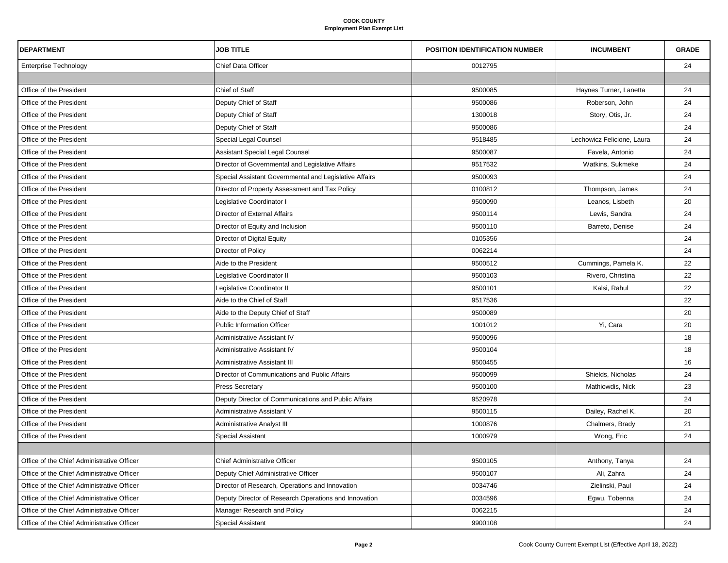| <b>DEPARTMENT</b>                          | <b>JOB TITLE</b>                                       | <b>POSITION IDENTIFICATION NUMBER</b> | <b>INCUMBENT</b>           | <b>GRADE</b> |
|--------------------------------------------|--------------------------------------------------------|---------------------------------------|----------------------------|--------------|
| <b>Enterprise Technology</b>               | Chief Data Officer                                     | 0012795                               |                            | 24           |
|                                            |                                                        |                                       |                            |              |
| Office of the President                    | Chief of Staff                                         | 9500085                               | Haynes Turner, Lanetta     | 24           |
| Office of the President                    | Deputy Chief of Staff                                  | 9500086                               | Roberson, John             | 24           |
| Office of the President                    | Deputy Chief of Staff                                  | 1300018                               | Story, Otis, Jr.           | 24           |
| Office of the President                    | Deputy Chief of Staff                                  | 9500086                               |                            | 24           |
| Office of the President                    | Special Legal Counsel                                  | 9518485                               | Lechowicz Felicione, Laura | 24           |
| Office of the President                    | <b>Assistant Special Legal Counsel</b>                 | 9500087                               | Favela, Antonio            | 24           |
| Office of the President                    | Director of Governmental and Legislative Affairs       | 9517532                               | Watkins, Sukmeke           | 24           |
| Office of the President                    | Special Assistant Governmental and Legislative Affairs | 9500093                               |                            | 24           |
| Office of the President                    | Director of Property Assessment and Tax Policy         | 0100812                               | Thompson, James            | 24           |
| Office of the President                    | Legislative Coordinator I                              | 9500090                               | Leanos, Lisbeth            | 20           |
| Office of the President                    | Director of External Affairs                           | 9500114                               | Lewis, Sandra              | 24           |
| Office of the President                    | Director of Equity and Inclusion                       | 9500110                               | Barreto, Denise            | 24           |
| Office of the President                    | Director of Digital Equity                             | 0105356                               |                            | 24           |
| Office of the President                    | Director of Policy                                     | 0062214                               |                            | 24           |
| Office of the President                    | Aide to the President                                  | 9500512                               | Cummings, Pamela K.        | 22           |
| Office of the President                    | Legislative Coordinator II                             | 9500103                               | Rivero, Christina          | 22           |
| Office of the President                    | Legislative Coordinator II                             | 9500101                               | Kalsi, Rahul               | 22           |
| Office of the President                    | Aide to the Chief of Staff                             | 9517536                               |                            | 22           |
| Office of the President                    | Aide to the Deputy Chief of Staff                      | 9500089                               |                            | 20           |
| Office of the President                    | <b>Public Information Officer</b>                      | 1001012                               | Yi, Cara                   | 20           |
| Office of the President                    | Administrative Assistant IV                            | 9500096                               |                            | 18           |
| Office of the President                    | Administrative Assistant IV                            | 9500104                               |                            | 18           |
| Office of the President                    | Administrative Assistant III                           | 9500455                               |                            | 16           |
| Office of the President                    | Director of Communications and Public Affairs          | 9500099                               | Shields, Nicholas          | 24           |
| Office of the President                    | <b>Press Secretary</b>                                 | 9500100                               | Mathiowdis, Nick           | 23           |
| Office of the President                    | Deputy Director of Communications and Public Affairs   | 9520978                               |                            | 24           |
| Office of the President                    | Administrative Assistant V                             | 9500115                               | Dailey, Rachel K.          | 20           |
| Office of the President                    | Administrative Analyst III                             | 1000876                               | Chalmers, Brady            | 21           |
| Office of the President                    | <b>Special Assistant</b>                               | 1000979                               | Wong, Eric                 | 24           |
|                                            |                                                        |                                       |                            |              |
| Office of the Chief Administrative Officer | <b>Chief Administrative Officer</b>                    | 9500105                               | Anthony, Tanya             | 24           |
| Office of the Chief Administrative Officer | Deputy Chief Administrative Officer                    | 9500107                               | Ali, Zahra                 | 24           |
| Office of the Chief Administrative Officer | Director of Research, Operations and Innovation        | 0034746                               | Zielinski, Paul            | 24           |
| Office of the Chief Administrative Officer | Deputy Director of Research Operations and Innovation  | 0034596                               | Egwu, Tobenna              | 24           |
| Office of the Chief Administrative Officer | Manager Research and Policy                            | 0062215                               |                            | 24           |
| Office of the Chief Administrative Officer | Special Assistant                                      | 9900108                               |                            | 24           |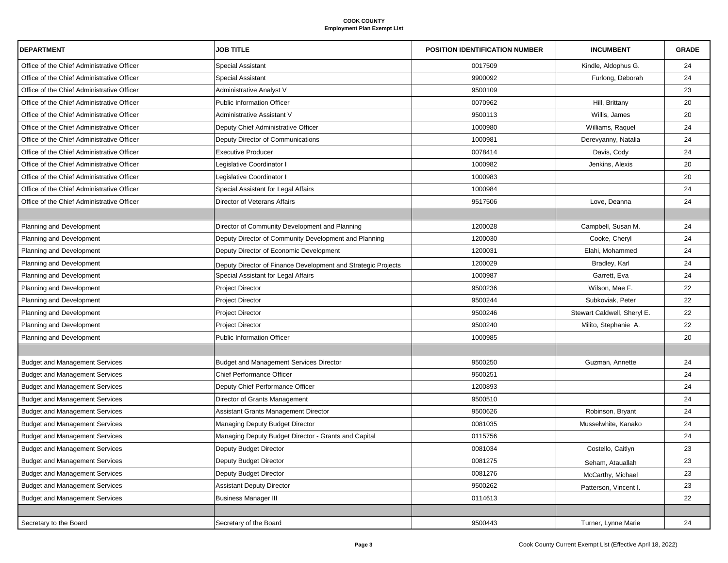| <b>DEPARTMENT</b>                          | <b>JOB TITLE</b>                                              | <b>POSITION IDENTIFICATION NUMBER</b> | <b>INCUMBENT</b>            | <b>GRADE</b> |
|--------------------------------------------|---------------------------------------------------------------|---------------------------------------|-----------------------------|--------------|
| Office of the Chief Administrative Officer | <b>Special Assistant</b>                                      | 0017509                               | Kindle, Aldophus G.         | 24           |
| Office of the Chief Administrative Officer | <b>Special Assistant</b>                                      | 9900092                               | Furlong, Deborah            | 24           |
| Office of the Chief Administrative Officer | Administrative Analyst V                                      | 9500109                               |                             | 23           |
| Office of the Chief Administrative Officer | <b>Public Information Officer</b>                             | 0070962                               | Hill, Brittany              | 20           |
| Office of the Chief Administrative Officer | Administrative Assistant V                                    | 9500113                               | Willis, James               | 20           |
| Office of the Chief Administrative Officer | Deputy Chief Administrative Officer                           | 1000980                               | Williams, Raquel            | 24           |
| Office of the Chief Administrative Officer | Deputy Director of Communications                             | 1000981                               | Derevyanny, Natalia         | 24           |
| Office of the Chief Administrative Officer | <b>Executive Producer</b>                                     | 0078414                               | Davis, Cody                 | 24           |
| Office of the Chief Administrative Officer | Legislative Coordinator I                                     | 1000982                               | Jenkins, Alexis             | 20           |
| Office of the Chief Administrative Officer | Legislative Coordinator I                                     | 1000983                               |                             | 20           |
| Office of the Chief Administrative Officer | Special Assistant for Legal Affairs                           | 1000984                               |                             | 24           |
| Office of the Chief Administrative Officer | Director of Veterans Affairs                                  | 9517506                               | Love, Deanna                | 24           |
|                                            |                                                               |                                       |                             |              |
| Planning and Development                   | Director of Community Development and Planning                | 1200028                               | Campbell, Susan M.          | 24           |
| Planning and Development                   | Deputy Director of Community Development and Planning         | 1200030                               | Cooke, Cheryl               | 24           |
| Planning and Development                   | Deputy Director of Economic Development                       | 1200031                               | Elahi, Mohammed             | 24           |
| Planning and Development                   | Deputy Director of Finance Development and Strategic Projects | 1200029                               | Bradley, Karl               | 24           |
| <b>Planning and Development</b>            | Special Assistant for Legal Affairs                           | 1000987                               | Garrett, Eva                | 24           |
| Planning and Development                   | <b>Project Director</b>                                       | 9500236                               | Wilson, Mae F.              | 22           |
| Planning and Development                   | <b>Project Director</b>                                       | 9500244                               | Subkoviak, Peter            | 22           |
| Planning and Development                   | <b>Project Director</b>                                       | 9500246                               | Stewart Caldwell, Sheryl E. | 22           |
| Planning and Development                   | <b>Project Director</b>                                       | 9500240                               | Milito, Stephanie A.        | 22           |
| <b>Planning and Development</b>            | <b>Public Information Officer</b>                             | 1000985                               |                             | 20           |
|                                            |                                                               |                                       |                             |              |
| <b>Budget and Management Services</b>      | <b>Budget and Management Services Director</b>                | 9500250                               | Guzman, Annette             | 24           |
| <b>Budget and Management Services</b>      | <b>Chief Performance Officer</b>                              | 9500251                               |                             | 24           |
| <b>Budget and Management Services</b>      | Deputy Chief Performance Officer                              | 1200893                               |                             | 24           |
| <b>Budget and Management Services</b>      | Director of Grants Management                                 | 9500510                               |                             | 24           |
| <b>Budget and Management Services</b>      | Assistant Grants Management Director                          | 9500626                               | Robinson, Bryant            | 24           |
| <b>Budget and Management Services</b>      | Managing Deputy Budget Director                               | 0081035                               | Musselwhite, Kanako         | 24           |
| <b>Budget and Management Services</b>      | Managing Deputy Budget Director - Grants and Capital          | 0115756                               |                             | 24           |
| <b>Budget and Management Services</b>      | Deputy Budget Director                                        | 0081034                               | Costello, Caitlyn           | 23           |
| <b>Budget and Management Services</b>      | Deputy Budget Director                                        | 0081275                               | Seham, Atauallah            | 23           |
| <b>Budget and Management Services</b>      | Deputy Budget Director                                        | 0081276                               | McCarthy, Michael           | 23           |
| <b>Budget and Management Services</b>      | <b>Assistant Deputy Director</b>                              | 9500262                               | Patterson, Vincent I.       | 23           |
| <b>Budget and Management Services</b>      | <b>Business Manager III</b>                                   | 0114613                               |                             | 22           |
|                                            |                                                               |                                       |                             |              |
| Secretary to the Board                     | Secretary of the Board                                        | 9500443                               | Turner, Lynne Marie         | 24           |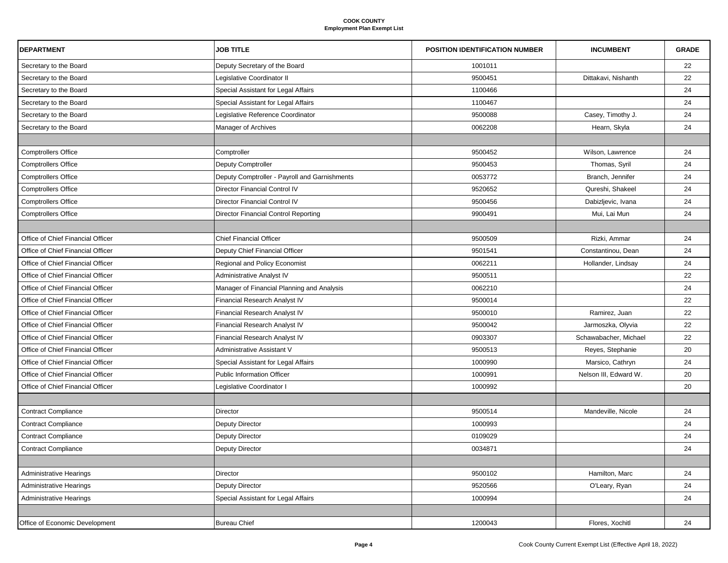| <b>DEPARTMENT</b>                 | <b>JOB TITLE</b>                              | <b>POSITION IDENTIFICATION NUMBER</b> | <b>INCUMBENT</b>      | <b>GRADE</b> |
|-----------------------------------|-----------------------------------------------|---------------------------------------|-----------------------|--------------|
| Secretary to the Board            | Deputy Secretary of the Board                 | 1001011                               |                       | 22           |
| Secretary to the Board            | Legislative Coordinator II                    | 9500451                               | Dittakavi, Nishanth   | 22           |
| Secretary to the Board            | Special Assistant for Legal Affairs           | 1100466                               |                       | 24           |
| Secretary to the Board            | Special Assistant for Legal Affairs           | 1100467                               |                       | 24           |
| Secretary to the Board            | Legislative Reference Coordinator             | 9500088                               | Casey, Timothy J.     | 24           |
| Secretary to the Board            | Manager of Archives                           | 0062208                               | Hearn, Skyla          | 24           |
|                                   |                                               |                                       |                       |              |
| <b>Comptrollers Office</b>        | Comptroller                                   | 9500452                               | Wilson, Lawrence      | 24           |
| <b>Comptrollers Office</b>        | <b>Deputy Comptroller</b>                     | 9500453                               | Thomas, Syril         | 24           |
| <b>Comptrollers Office</b>        | Deputy Comptroller - Payroll and Garnishments | 0053772                               | Branch, Jennifer      | 24           |
| <b>Comptrollers Office</b>        | Director Financial Control IV                 | 9520652                               | Qureshi, Shakeel      | 24           |
| <b>Comptrollers Office</b>        | Director Financial Control IV                 | 9500456                               | Dabizljevic, Ivana    | 24           |
| <b>Comptrollers Office</b>        | Director Financial Control Reporting          | 9900491                               | Mui, Lai Mun          | 24           |
|                                   |                                               |                                       |                       |              |
| Office of Chief Financial Officer | <b>Chief Financial Officer</b>                | 9500509                               | Rizki, Ammar          | 24           |
| Office of Chief Financial Officer | Deputy Chief Financial Officer                | 9501541                               | Constantinou, Dean    | 24           |
| Office of Chief Financial Officer | Regional and Policy Economist                 | 0062211                               | Hollander, Lindsay    | 24           |
| Office of Chief Financial Officer | <b>Administrative Analyst IV</b>              | 9500511                               |                       | 22           |
| Office of Chief Financial Officer | Manager of Financial Planning and Analysis    | 0062210                               |                       | 24           |
| Office of Chief Financial Officer | Financial Research Analyst IV                 | 9500014                               |                       | 22           |
| Office of Chief Financial Officer | Financial Research Analyst IV                 | 9500010                               | Ramirez, Juan         | 22           |
| Office of Chief Financial Officer | Financial Research Analyst IV                 | 9500042                               | Jarmoszka, Olyvia     | 22           |
| Office of Chief Financial Officer | Financial Research Analyst IV                 | 0903307                               | Schawabacher, Michael | 22           |
| Office of Chief Financial Officer | Administrative Assistant V                    | 9500513                               | Reyes, Stephanie      | 20           |
| Office of Chief Financial Officer | Special Assistant for Legal Affairs           | 1000990                               | Marsico, Cathryn      | 24           |
| Office of Chief Financial Officer | <b>Public Information Officer</b>             | 1000991                               | Nelson III, Edward W. | 20           |
| Office of Chief Financial Officer | Legislative Coordinator I                     | 1000992                               |                       | 20           |
|                                   |                                               |                                       |                       |              |
| <b>Contract Compliance</b>        | <b>Director</b>                               | 9500514                               | Mandeville, Nicole    | 24           |
| <b>Contract Compliance</b>        | <b>Deputy Director</b>                        | 1000993                               |                       | 24           |
| <b>Contract Compliance</b>        | Deputy Director                               | 0109029                               |                       | 24           |
| <b>Contract Compliance</b>        | <b>Deputy Director</b>                        | 0034871                               |                       | 24           |
|                                   |                                               |                                       |                       |              |
| <b>Administrative Hearings</b>    | <b>Director</b>                               | 9500102                               | Hamilton, Marc        | 24           |
| <b>Administrative Hearings</b>    | Deputy Director                               | 9520566                               | O'Leary, Ryan         | 24           |
| <b>Administrative Hearings</b>    | Special Assistant for Legal Affairs           | 1000994                               |                       | 24           |
|                                   |                                               |                                       |                       |              |
| Office of Economic Development    | <b>Bureau Chief</b>                           | 1200043                               | Flores, Xochitl       | 24           |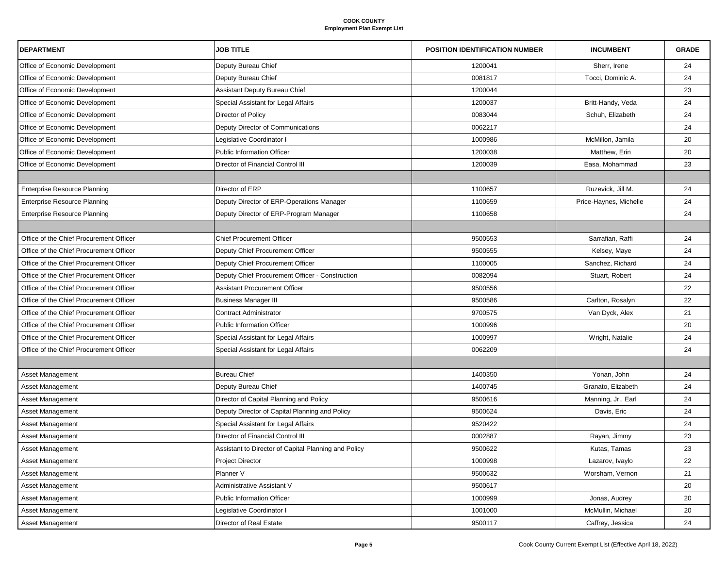| <b>DEPARTMENT</b>                       | <b>JOB TITLE</b>                                     | <b>POSITION IDENTIFICATION NUMBER</b> | <b>INCUMBENT</b>       | <b>GRADE</b> |
|-----------------------------------------|------------------------------------------------------|---------------------------------------|------------------------|--------------|
| Office of Economic Development          | Deputy Bureau Chief                                  | 1200041                               | Sherr, Irene           | 24           |
| Office of Economic Development          | Deputy Bureau Chief                                  | 0081817                               | Tocci, Dominic A.      | 24           |
| Office of Economic Development          | Assistant Deputy Bureau Chief                        | 1200044                               |                        | 23           |
| Office of Economic Development          | Special Assistant for Legal Affairs                  | 1200037                               | Britt-Handy, Veda      | 24           |
| Office of Economic Development          | Director of Policy                                   | 0083044                               | Schuh, Elizabeth       | 24           |
| Office of Economic Development          | Deputy Director of Communications                    | 0062217                               |                        | 24           |
| Office of Economic Development          | Legislative Coordinator I                            | 1000986                               | McMillon, Jamila       | 20           |
| Office of Economic Development          | <b>Public Information Officer</b>                    | 1200038                               | Matthew, Erin          | 20           |
| Office of Economic Development          | Director of Financial Control III                    | 1200039                               | Easa, Mohammad         | 23           |
|                                         |                                                      |                                       |                        |              |
| <b>Enterprise Resource Planning</b>     | Director of ERP                                      | 1100657                               | Ruzevick, Jill M.      | 24           |
| <b>Enterprise Resource Planning</b>     | Deputy Director of ERP-Operations Manager            | 1100659                               | Price-Haynes, Michelle | 24           |
| <b>Enterprise Resource Planning</b>     | Deputy Director of ERP-Program Manager               | 1100658                               |                        | 24           |
|                                         |                                                      |                                       |                        |              |
| Office of the Chief Procurement Officer | <b>Chief Procurement Officer</b>                     | 9500553                               | Sarrafian, Raffi       | 24           |
| Office of the Chief Procurement Officer | Deputy Chief Procurement Officer                     | 9500555                               | Kelsey, Maye           | 24           |
| Office of the Chief Procurement Officer | Deputy Chief Procurement Officer                     | 1100005                               | Sanchez, Richard       | 24           |
| Office of the Chief Procurement Officer | Deputy Chief Procurement Officer - Construction      | 0082094                               | Stuart, Robert         | 24           |
| Office of the Chief Procurement Officer | <b>Assistant Procurement Officer</b>                 | 9500556                               |                        | 22           |
| Office of the Chief Procurement Officer | <b>Business Manager III</b>                          | 9500586                               | Carlton, Rosalyn       | 22           |
| Office of the Chief Procurement Officer | <b>Contract Administrator</b>                        | 9700575                               | Van Dyck, Alex         | 21           |
| Office of the Chief Procurement Officer | <b>Public Information Officer</b>                    | 1000996                               |                        | 20           |
| Office of the Chief Procurement Officer | Special Assistant for Legal Affairs                  | 1000997                               | Wright, Natalie        | 24           |
| Office of the Chief Procurement Officer | Special Assistant for Legal Affairs                  | 0062209                               |                        | 24           |
|                                         |                                                      |                                       |                        |              |
| Asset Management                        | <b>Bureau Chief</b>                                  | 1400350                               | Yonan, John            | 24           |
| Asset Management                        | Deputy Bureau Chief                                  | 1400745                               | Granato, Elizabeth     | 24           |
| Asset Management                        | Director of Capital Planning and Policy              | 9500616                               | Manning, Jr., Earl     | 24           |
| Asset Management                        | Deputy Director of Capital Planning and Policy       | 9500624                               | Davis, Eric            | 24           |
| Asset Management                        | Special Assistant for Legal Affairs                  | 9520422                               |                        | 24           |
| Asset Management                        | Director of Financial Control III                    | 0002887                               | Rayan, Jimmy           | 23           |
| Asset Management                        | Assistant to Director of Capital Planning and Policy | 9500622                               | Kutas, Tamas           | 23           |
| <b>Asset Management</b>                 | <b>Project Director</b>                              | 1000998                               | Lazarov, Ivaylo        | 22           |
| Asset Management                        | Planner V                                            | 9500632                               | Worsham, Vernon        | 21           |
| <b>Asset Management</b>                 | Administrative Assistant V                           | 9500617                               |                        | 20           |
| <b>Asset Management</b>                 | <b>Public Information Officer</b>                    | 1000999                               | Jonas, Audrey          | 20           |
| Asset Management                        | Legislative Coordinator I                            | 1001000                               | McMullin, Michael      | 20           |
| Asset Management                        | Director of Real Estate                              | 9500117                               | Caffrey, Jessica       | 24           |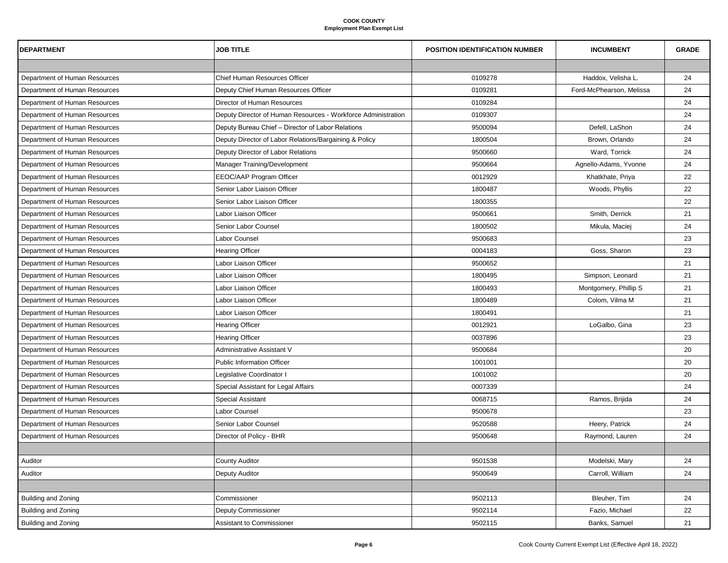| <b>DEPARTMENT</b>             | <b>JOB TITLE</b>                                              | <b>POSITION IDENTIFICATION NUMBER</b> | <b>INCUMBENT</b>         | <b>GRADE</b> |
|-------------------------------|---------------------------------------------------------------|---------------------------------------|--------------------------|--------------|
|                               |                                                               |                                       |                          |              |
| Department of Human Resources | <b>Chief Human Resources Officer</b>                          | 0109278                               | Haddox, Velisha L.       | 24           |
| Department of Human Resources | Deputy Chief Human Resources Officer                          | 0109281                               | Ford-McPhearson, Melissa | 24           |
| Department of Human Resources | Director of Human Resources                                   | 0109284                               |                          | 24           |
| Department of Human Resources | Deputy Director of Human Resources - Workforce Administration | 0109307                               |                          | 24           |
| Department of Human Resources | Deputy Bureau Chief - Director of Labor Relations             | 9500094                               | Defell, LaShon           | 24           |
| Department of Human Resources | Deputy Director of Labor Relations/Bargaining & Policy        | 1800504                               | Brown, Orlando           | 24           |
| Department of Human Resources | Deputy Director of Labor Relations                            | 9500660                               | Ward, Torrick            | 24           |
| Department of Human Resources | Manager Training/Development                                  | 9500664                               | Agnello-Adams, Yvonne    | 24           |
| Department of Human Resources | EEOC/AAP Program Officer                                      | 0012929                               | Khatkhate, Priya         | 22           |
| Department of Human Resources | Senior Labor Liaison Officer                                  | 1800487                               | Woods, Phyllis           | 22           |
| Department of Human Resources | Senior Labor Liaison Officer                                  | 1800355                               |                          | 22           |
| Department of Human Resources | Labor Liaison Officer                                         | 9500661                               | Smith, Derrick           | 21           |
| Department of Human Resources | Senior Labor Counsel                                          | 1800502                               | Mikula, Maciej           | 24           |
| Department of Human Resources | Labor Counsel                                                 | 9500683                               |                          | 23           |
| Department of Human Resources | <b>Hearing Officer</b>                                        | 0004183                               | Goss, Sharon             | 23           |
| Department of Human Resources | Labor Liaison Officer                                         | 9500652                               |                          | 21           |
| Department of Human Resources | Labor Liaison Officer                                         | 1800495                               | Simpson, Leonard         | 21           |
| Department of Human Resources | Labor Liaison Officer                                         | 1800493                               | Montgomery, Phillip S    | 21           |
| Department of Human Resources | Labor Liaison Officer                                         | 1800489                               | Colom, Vilma M           | 21           |
| Department of Human Resources | Labor Liaison Officer                                         | 1800491                               |                          | 21           |
| Department of Human Resources | <b>Hearing Officer</b>                                        | 0012921                               | LoGalbo, Gina            | 23           |
| Department of Human Resources | <b>Hearing Officer</b>                                        | 0037896                               |                          | 23           |
| Department of Human Resources | Administrative Assistant V                                    | 9500684                               |                          | 20           |
| Department of Human Resources | <b>Public Information Officer</b>                             | 1001001                               |                          | 20           |
| Department of Human Resources | Legislative Coordinator I                                     | 1001002                               |                          | 20           |
| Department of Human Resources | Special Assistant for Legal Affairs                           | 0007339                               |                          | 24           |
| Department of Human Resources | Special Assistant                                             | 0068715                               | Ramos, Brijida           | 24           |
| Department of Human Resources | Labor Counsel                                                 | 9500678                               |                          | 23           |
| Department of Human Resources | Senior Labor Counsel                                          | 9520588                               | Heery, Patrick           | 24           |
| Department of Human Resources | Director of Policy - BHR                                      | 9500648                               | Raymond, Lauren          | 24           |
|                               |                                                               |                                       |                          |              |
| Auditor                       | <b>County Auditor</b>                                         | 9501538                               | Modelski, Mary           | 24           |
| Auditor                       | <b>Deputy Auditor</b>                                         | 9500649                               | Carroll, William         | 24           |
|                               |                                                               |                                       |                          |              |
| Building and Zoning           | Commissioner                                                  | 9502113                               | Bleuher, Tim             | 24           |
| Building and Zoning           | Deputy Commissioner                                           | 9502114                               | Fazio, Michael           | 22           |
| <b>Building and Zoning</b>    | Assistant to Commissioner                                     | 9502115                               | Banks, Samuel            | 21           |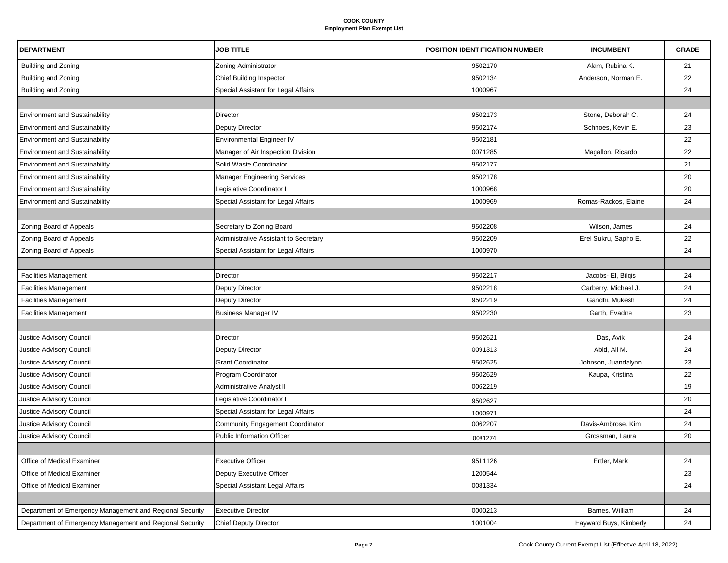| <b>DEPARTMENT</b>                                        | <b>JOB TITLE</b>                             | <b>POSITION IDENTIFICATION NUMBER</b> | <b>INCUMBENT</b>       | <b>GRADE</b> |
|----------------------------------------------------------|----------------------------------------------|---------------------------------------|------------------------|--------------|
| <b>Building and Zoning</b>                               | Zoning Administrator                         | 9502170                               | Alam, Rubina K.        | 21           |
| <b>Building and Zoning</b>                               | <b>Chief Building Inspector</b>              | 9502134                               | Anderson, Norman E.    | 22           |
| Building and Zoning                                      | Special Assistant for Legal Affairs          | 1000967                               |                        | 24           |
|                                                          |                                              |                                       |                        |              |
| <b>Environment and Sustainability</b>                    | Director                                     | 9502173                               | Stone, Deborah C.      | 24           |
| <b>Environment and Sustainability</b>                    | Deputy Director                              | 9502174                               | Schnoes, Kevin E.      | 23           |
| <b>Environment and Sustainability</b>                    | <b>Environmental Engineer IV</b>             | 9502181                               |                        | 22           |
| <b>Environment and Sustainability</b>                    | Manager of Air Inspection Division           | 0071285                               | Magallon, Ricardo      | 22           |
| <b>Environment and Sustainability</b>                    | Solid Waste Coordinator                      | 9502177                               |                        | 21           |
| <b>Environment and Sustainability</b>                    | <b>Manager Engineering Services</b>          | 9502178                               |                        | 20           |
| <b>Environment and Sustainability</b>                    | Legislative Coordinator I                    | 1000968                               |                        | 20           |
| <b>Environment and Sustainability</b>                    | Special Assistant for Legal Affairs          | 1000969                               | Romas-Rackos, Elaine   | 24           |
|                                                          |                                              |                                       |                        |              |
| Zoning Board of Appeals                                  | Secretary to Zoning Board                    | 9502208                               | Wilson, James          | 24           |
| Zoning Board of Appeals                                  | <b>Administrative Assistant to Secretary</b> | 9502209                               | Erel Sukru, Sapho E.   | 22           |
| Zoning Board of Appeals                                  | Special Assistant for Legal Affairs          | 1000970                               |                        | 24           |
|                                                          |                                              |                                       |                        |              |
| <b>Facilities Management</b>                             | Director                                     | 9502217                               | Jacobs- El, Bilgis     | 24           |
| <b>Facilities Management</b>                             | Deputy Director                              | 9502218                               | Carberry, Michael J.   | 24           |
| <b>Facilities Management</b>                             | Deputy Director                              | 9502219                               | Gandhi, Mukesh         | 24           |
| <b>Facilities Management</b>                             | <b>Business Manager IV</b>                   | 9502230                               | Garth, Evadne          | 23           |
|                                                          |                                              |                                       |                        |              |
| Justice Advisory Council                                 | Director                                     | 9502621                               | Das, Avik              | 24           |
| Justice Advisory Council                                 | Deputy Director                              | 0091313                               | Abid, Ali M.           | 24           |
| Justice Advisory Council                                 | <b>Grant Coordinator</b>                     | 9502625                               | Johnson, Juandalynn    | 23           |
| Justice Advisory Council                                 | Program Coordinator                          | 9502629                               | Kaupa, Kristina        | 22           |
| Justice Advisory Council                                 | <b>Administrative Analyst II</b>             | 0062219                               |                        | 19           |
| Justice Advisory Council                                 | Legislative Coordinator I                    | 9502627                               |                        | 20           |
| Justice Advisory Council                                 | Special Assistant for Legal Affairs          | 1000971                               |                        | 24           |
| Justice Advisory Council                                 | <b>Community Engagement Coordinator</b>      | 0062207                               | Davis-Ambrose, Kim     | 24           |
| Justice Advisory Council                                 | <b>Public Information Officer</b>            | 0081274                               | Grossman, Laura        | 20           |
|                                                          |                                              |                                       |                        |              |
| Office of Medical Examiner                               | <b>Executive Officer</b>                     | 9511126                               | Ertler, Mark           | 24           |
| Office of Medical Examiner                               | Deputy Executive Officer                     | 1200544                               |                        | 23           |
| Office of Medical Examiner                               | Special Assistant Legal Affairs              | 0081334                               |                        | 24           |
|                                                          |                                              |                                       |                        |              |
| Department of Emergency Management and Regional Security | <b>Executive Director</b>                    | 0000213                               | Barnes, William        | 24           |
| Department of Emergency Management and Regional Security | <b>Chief Deputy Director</b>                 | 1001004                               | Hayward Buys, Kimberly | 24           |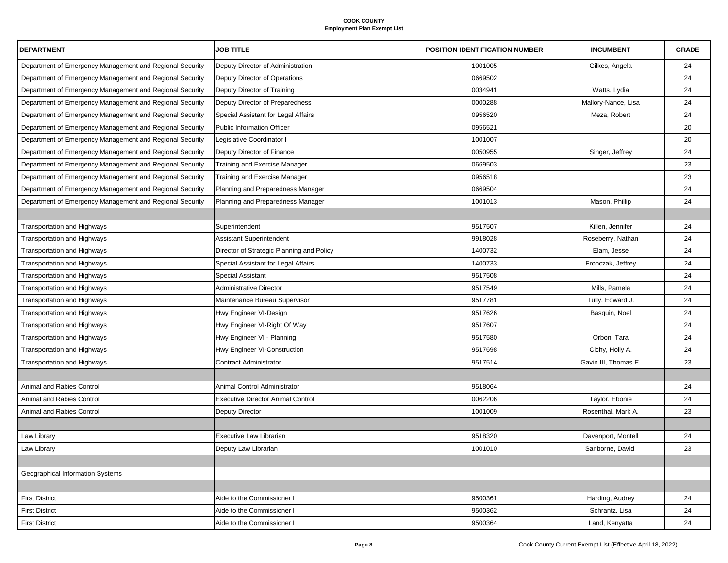| <b>DEPARTMENT</b>                                        | <b>JOB TITLE</b>                          | <b>POSITION IDENTIFICATION NUMBER</b> | <b>INCUMBENT</b>     | <b>GRADE</b> |
|----------------------------------------------------------|-------------------------------------------|---------------------------------------|----------------------|--------------|
| Department of Emergency Management and Regional Security | Deputy Director of Administration         | 1001005                               | Gilkes, Angela       | 24           |
| Department of Emergency Management and Regional Security | Deputy Director of Operations             | 0669502                               |                      | 24           |
| Department of Emergency Management and Regional Security | Deputy Director of Training               | 0034941                               | Watts, Lydia         | 24           |
| Department of Emergency Management and Regional Security | Deputy Director of Preparedness           | 0000288                               | Mallory-Nance, Lisa  | 24           |
| Department of Emergency Management and Regional Security | Special Assistant for Legal Affairs       | 0956520                               | Meza, Robert         | 24           |
| Department of Emergency Management and Regional Security | <b>Public Information Officer</b>         | 0956521                               |                      | 20           |
| Department of Emergency Management and Regional Security | Legislative Coordinator I                 | 1001007                               |                      | 20           |
| Department of Emergency Management and Regional Security | Deputy Director of Finance                | 0050955                               | Singer, Jeffrey      | 24           |
| Department of Emergency Management and Regional Security | Training and Exercise Manager             | 0669503                               |                      | 23           |
| Department of Emergency Management and Regional Security | Training and Exercise Manager             | 0956518                               |                      | 23           |
| Department of Emergency Management and Regional Security | Planning and Preparedness Manager         | 0669504                               |                      | 24           |
| Department of Emergency Management and Regional Security | Planning and Preparedness Manager         | 1001013                               | Mason, Phillip       | 24           |
|                                                          |                                           |                                       |                      |              |
| Transportation and Highways                              | Superintendent                            | 9517507                               | Killen, Jennifer     | 24           |
| <b>Transportation and Highways</b>                       | Assistant Superintendent                  | 9918028                               | Roseberry, Nathan    | 24           |
| Transportation and Highways                              | Director of Strategic Planning and Policy | 1400732                               | Elam, Jesse          | 24           |
| <b>Transportation and Highways</b>                       | Special Assistant for Legal Affairs       | 1400733                               | Fronczak, Jeffrey    | 24           |
| <b>Transportation and Highways</b>                       | <b>Special Assistant</b>                  | 9517508                               |                      | 24           |
| <b>Transportation and Highways</b>                       | <b>Administrative Director</b>            | 9517549                               | Mills, Pamela        | 24           |
| <b>Transportation and Highways</b>                       | Maintenance Bureau Supervisor             | 9517781                               | Tully, Edward J.     | 24           |
| Transportation and Highways                              | Hwy Engineer VI-Design                    | 9517626                               | Basquin, Noel        | 24           |
| <b>Transportation and Highways</b>                       | Hwy Engineer VI-Right Of Way              | 9517607                               |                      | 24           |
| Transportation and Highways                              | Hwy Engineer VI - Planning                | 9517580                               | Orbon, Tara          | 24           |
| <b>Transportation and Highways</b>                       | Hwy Engineer VI-Construction              | 9517698                               | Cichy, Holly A.      | 24           |
| Transportation and Highways                              | <b>Contract Administrator</b>             | 9517514                               | Gavin III, Thomas E. | 23           |
|                                                          |                                           |                                       |                      |              |
| Animal and Rabies Control                                | Animal Control Administrator              | 9518064                               |                      | 24           |
| Animal and Rabies Control                                | Executive Director Animal Control         | 0062206                               | Taylor, Ebonie       | 24           |
| Animal and Rabies Control                                | <b>Deputy Director</b>                    | 1001009                               | Rosenthal, Mark A.   | 23           |
|                                                          |                                           |                                       |                      |              |
| Law Library                                              | <b>Executive Law Librarian</b>            | 9518320                               | Davenport, Montell   | 24           |
| Law Library                                              | Deputy Law Librarian                      | 1001010                               | Sanborne, David      | 23           |
|                                                          |                                           |                                       |                      |              |
| Geographical Information Systems                         |                                           |                                       |                      |              |
|                                                          |                                           |                                       |                      |              |
| <b>First District</b>                                    | Aide to the Commissioner I                | 9500361                               | Harding, Audrey      | 24           |
| <b>First District</b>                                    | Aide to the Commissioner I                | 9500362                               | Schrantz, Lisa       | 24           |
| <b>First District</b>                                    | Aide to the Commissioner I                | 9500364                               | Land, Kenyatta       | 24           |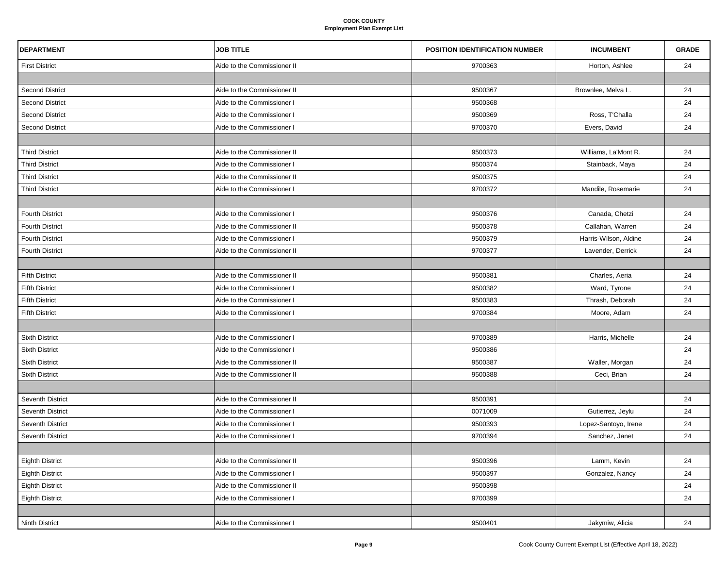| <b>DEPARTMENT</b>      | <b>JOB TITLE</b>            | <b>POSITION IDENTIFICATION NUMBER</b> | <b>INCUMBENT</b>      | <b>GRADE</b> |
|------------------------|-----------------------------|---------------------------------------|-----------------------|--------------|
| <b>First District</b>  | Aide to the Commissioner II | 9700363                               | Horton, Ashlee        | 24           |
|                        |                             |                                       |                       |              |
| <b>Second District</b> | Aide to the Commissioner II | 9500367                               | Brownlee, Melva L.    | 24           |
| <b>Second District</b> | Aide to the Commissioner I  | 9500368                               |                       | 24           |
| <b>Second District</b> | Aide to the Commissioner I  | 9500369                               | Ross, T'Challa        | 24           |
| <b>Second District</b> | Aide to the Commissioner I  | 9700370                               | Evers, David          | 24           |
|                        |                             |                                       |                       |              |
| <b>Third District</b>  | Aide to the Commissioner II | 9500373                               | Williams, La'Mont R.  | 24           |
| <b>Third District</b>  | Aide to the Commissioner I  | 9500374                               | Stainback, Maya       | 24           |
| <b>Third District</b>  | Aide to the Commissioner II | 9500375                               |                       | 24           |
| <b>Third District</b>  | Aide to the Commissioner I  | 9700372                               | Mandile, Rosemarie    | 24           |
|                        |                             |                                       |                       |              |
| <b>Fourth District</b> | Aide to the Commissioner I  | 9500376                               | Canada, Chetzi        | 24           |
| <b>Fourth District</b> | Aide to the Commissioner II | 9500378                               | Callahan, Warren      | 24           |
| <b>Fourth District</b> | Aide to the Commissioner I  | 9500379                               | Harris-Wilson, Aldine | 24           |
| <b>Fourth District</b> | Aide to the Commissioner II | 9700377                               | Lavender, Derrick     | 24           |
|                        |                             |                                       |                       |              |
| <b>Fifth District</b>  | Aide to the Commissioner II | 9500381                               | Charles, Aeria        | 24           |
| <b>Fifth District</b>  | Aide to the Commissioner I  | 9500382                               | Ward, Tyrone          | 24           |
| <b>Fifth District</b>  | Aide to the Commissioner I  | 9500383                               | Thrash, Deborah       | 24           |
| <b>Fifth District</b>  | Aide to the Commissioner I  | 9700384                               | Moore, Adam           | 24           |
|                        |                             |                                       |                       |              |
| <b>Sixth District</b>  | Aide to the Commissioner I  | 9700389                               | Harris, Michelle      | 24           |
| <b>Sixth District</b>  | Aide to the Commissioner I  | 9500386                               |                       | 24           |
| <b>Sixth District</b>  | Aide to the Commissioner II | 9500387                               | Waller, Morgan        | 24           |
| <b>Sixth District</b>  | Aide to the Commissioner II | 9500388                               | Ceci, Brian           | 24           |
|                        |                             |                                       |                       |              |
| Seventh District       | Aide to the Commissioner II | 9500391                               |                       | 24           |
| Seventh District       | Aide to the Commissioner I  | 0071009                               | Gutierrez, Jeylu      | 24           |
| Seventh District       | Aide to the Commissioner I  | 9500393                               | Lopez-Santoyo, Irene  | 24           |
| Seventh District       | Aide to the Commissioner I  | 9700394                               | Sanchez, Janet        | 24           |
|                        |                             |                                       |                       |              |
| <b>Eighth District</b> | Aide to the Commissioner II | 9500396                               | Lamm, Kevin           | 24           |
| <b>Eighth District</b> | Aide to the Commissioner I  | 9500397                               | Gonzalez, Nancy       | 24           |
| <b>Eighth District</b> | Aide to the Commissioner II | 9500398                               |                       | 24           |
| <b>Eighth District</b> | Aide to the Commissioner I  | 9700399                               |                       | 24           |
|                        |                             |                                       |                       |              |
| <b>Ninth District</b>  | Aide to the Commissioner I  | 9500401                               | Jakymiw, Alicia       | 24           |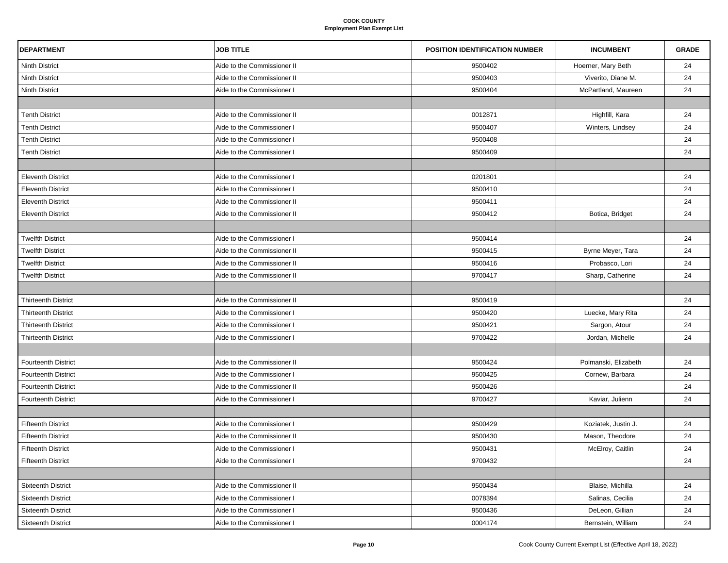| <b>DEPARTMENT</b>          | <b>JOB TITLE</b>            | <b>POSITION IDENTIFICATION NUMBER</b> | <b>INCUMBENT</b>     | <b>GRADE</b> |
|----------------------------|-----------------------------|---------------------------------------|----------------------|--------------|
| <b>Ninth District</b>      | Aide to the Commissioner II | 9500402                               | Hoerner, Mary Beth   | 24           |
| <b>Ninth District</b>      | Aide to the Commissioner II | 9500403                               | Viverito, Diane M.   | 24           |
| <b>Ninth District</b>      | Aide to the Commissioner I  | 9500404                               | McPartland, Maureen  | 24           |
|                            |                             |                                       |                      |              |
| <b>Tenth District</b>      | Aide to the Commissioner II | 0012871                               | Highfill, Kara       | 24           |
| <b>Tenth District</b>      | Aide to the Commissioner I  | 9500407                               | Winters, Lindsey     | 24           |
| <b>Tenth District</b>      | Aide to the Commissioner I  | 9500408                               |                      | 24           |
| <b>Tenth District</b>      | Aide to the Commissioner I  | 9500409                               |                      | 24           |
|                            |                             |                                       |                      |              |
| <b>Eleventh District</b>   | Aide to the Commissioner I  | 0201801                               |                      | 24           |
| <b>Eleventh District</b>   | Aide to the Commissioner I  | 9500410                               |                      | 24           |
| <b>Eleventh District</b>   | Aide to the Commissioner II | 9500411                               |                      | 24           |
| <b>Eleventh District</b>   | Aide to the Commissioner II | 9500412                               | Botica, Bridget      | 24           |
|                            |                             |                                       |                      |              |
| <b>Twelfth District</b>    | Aide to the Commissioner I  | 9500414                               |                      | 24           |
| <b>Twelfth District</b>    | Aide to the Commissioner II | 9500415                               | Byrne Meyer, Tara    | 24           |
| <b>Twelfth District</b>    | Aide to the Commissioner II | 9500416                               | Probasco, Lori       | 24           |
| <b>Twelfth District</b>    | Aide to the Commissioner II | 9700417                               | Sharp, Catherine     | 24           |
|                            |                             |                                       |                      |              |
| <b>Thirteenth District</b> | Aide to the Commissioner II | 9500419                               |                      | 24           |
| <b>Thirteenth District</b> | Aide to the Commissioner I  | 9500420                               | Luecke, Mary Rita    | 24           |
| <b>Thirteenth District</b> | Aide to the Commissioner I  | 9500421                               | Sargon, Atour        | 24           |
| <b>Thirteenth District</b> | Aide to the Commissioner I  | 9700422                               | Jordan, Michelle     | 24           |
|                            |                             |                                       |                      |              |
| <b>Fourteenth District</b> | Aide to the Commissioner II | 9500424                               | Polmanski, Elizabeth | 24           |
| <b>Fourteenth District</b> | Aide to the Commissioner I  | 9500425                               | Cornew, Barbara      | 24           |
| <b>Fourteenth District</b> | Aide to the Commissioner II | 9500426                               |                      | 24           |
| <b>Fourteenth District</b> | Aide to the Commissioner I  | 9700427                               | Kaviar, Julienn      | 24           |
|                            |                             |                                       |                      |              |
| <b>Fifteenth District</b>  | Aide to the Commissioner I  | 9500429                               | Koziatek, Justin J.  | 24           |
| <b>Fifteenth District</b>  | Aide to the Commissioner II | 9500430                               | Mason, Theodore      | 24           |
| <b>Fifteenth District</b>  | Aide to the Commissioner I  | 9500431                               | McElroy, Caitlin     | 24           |
| <b>Fifteenth District</b>  | Aide to the Commissioner I  | 9700432                               |                      | 24           |
|                            |                             |                                       |                      |              |
| <b>Sixteenth District</b>  | Aide to the Commissioner II | 9500434                               | Blaise, Michilla     | 24           |
| <b>Sixteenth District</b>  | Aide to the Commissioner I  | 0078394                               | Salinas, Cecilia     | 24           |
| <b>Sixteenth District</b>  | Aide to the Commissioner I  | 9500436                               | DeLeon, Gillian      | 24           |
| <b>Sixteenth District</b>  | Aide to the Commissioner I  | 0004174                               | Bernstein, William   | 24           |